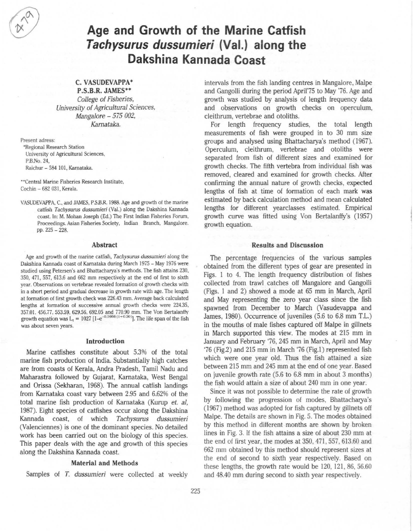# Age and Growth of the Marine Catfish Tachysurus dussumieri (Val.) along the Dakshina Kannada Coast

# C. VASUDEVAPPA\*

P.S.B.R. JAMES\*\* College of Fisheries, University of Agricultural Sciences, Mangalore - 575 002, Kamataka.

Present adress:

-Regional Research Station University of Agricultural Sciences, P.B.No.24, Raichur - 584 101, Kamataka.

··Central Marine Fisheries Research Institute, Cochin - 682 031, Kerala.

VASUDEVAPPA, c., and JAMES. P.5.B.R. 1988. Age and growth of the marine catfish *Tachysuros dussumieri* (Val.) along the Dakshina Kannada coast. In: M. Mohan Joseph (Ed.) The First Indian Fisheries Forum, Proceedings. Asian Fisheries Society, Indian Branch, Mangalore. pp. 225 - 228.

#### Abstract

Age and growth of the marine catfish, *Tachysurus dussumieri* along the Dakshina Kannada coast of Karnataka during March 1975 - May 1976 were studied using Petersen's and Bhattacharya's methods. The fish attains 230. 350, 471 , 557, 613.6 and 662 mm respectively at the end of first to sixth year. Observations on vertebrae revealed formation of growth checks with in a short period and gradual decrease in growth rate with age. The length at formation of first growth check was 226.43 mm. Average back calculated lengths at formation of successive annual growth checks were 224.35. 357.oI. 456.77. 553.59. 629.56. 692.05 and 770.90 mm. The Yon Bertalanffv growth equation was  $L_t = 1027 [1-e^{-0.1666 (t+0.50)}]$ . The life span of the fish was about seven years.

## Introduction

Marine catfishes constitute about 5.3% of the total marine fish production of India. Substantially high catches are from coasts of Kerala, Andra Pradesh, Tamil Nadu and Maharastra followed by Gujarat, Karnataka, West Bengal and Orissa (Sekharan, 1968). The annual catfish landings from Karnataka coast vary between 2.95 and 6.62% of the total marine fish production of Karnataka (Kurup et. *ai,*  1987). Eight species of catfishes occur along the Dakshina Kannada coast, of which Tachysurus dussumieri (Valenciennes) is one of the dominant species. No detailed work has been carried out on the biology of this species. This paper deals with the age and growth of this species along the Dakshina Kannada coast.

### Material and Methods

Samples of *T. dussumieri* were collected at weekly

intervals from the fish landing centres in Mangalore, Malpe and Gangolli during the period April'75 to May '76. Age and growth was studied by analysis of length frequency data and observations on growth checks on operculum, cleithrum, vertebrae and otoliths.

For length frequency studies, the total length measurements of fish were grouped in to 30 mm size groups and analysed using Bhattacharya's method (1967). Operculum, cleithrum, vertebrae and otoliths were separated from fish of different sizes and examined for growth checks. The fifth vertebra from individual fish was removed, cleared and examined for growth checks. After confirming the annual nature of growth checks, expected lengths of fish at time of formation of each mark was estimated by back calculation method and mean calculated lengths for different yearclasses estimated. Empirical growth curve was fitted using Von Bertalanffy's (1957) growth equation.

#### Results and Discussion

The percentage frequencies of the various samples obtained from the different types of gear are presented in Figs. 1 to 4. The length frequency distribution of fishes collected from trawl catches off Mangalore and Gangolli (Figs. 1 and 2) showed a mode at 65 mm in March, April and May representing the zero year *class* since the fish spawned from December to March (Vasudevappa and James, 1980). Occurrence of juveniles (5.6 to 6.8 mm TL) in the mouths of male fishes captured off Malpe in gillnets in March supported this view. The modes at 215 mm in January and February '76, 245 mm in March, April and May '76 (Fig.2) and 215 mm in March '76 (Fig.1) represented fish which were one year old. Thus the fish attained a size between 215 mm and 245 mm at the end of one year. Based on juvenile growth rate (5.6 to 6.8 mm in about 3 months) the fish would attain a size of about 240 mm in one year.

Since it was not possible to determine the rate of growth by following the progression of modes, Bhattacharya's (1967) method was adopted for fish captured by gillnets off Malpe. The details are shown in Fig. 5. The modes obtained by this method in different months are shown by broken lines in Fig. 3. If the fish attains a size of about 230 mm at the end of first year, the modes at *350,* 471 , 557, 613.60 and 662 mm obtained by this method should represent sizes at the end of second to sixth year respectively. Based on these lengths, the growth rate would be  $120$ ,  $121$ ,  $86$ ,  $56.60$ and 48.40 mm during second to sixth year respectively.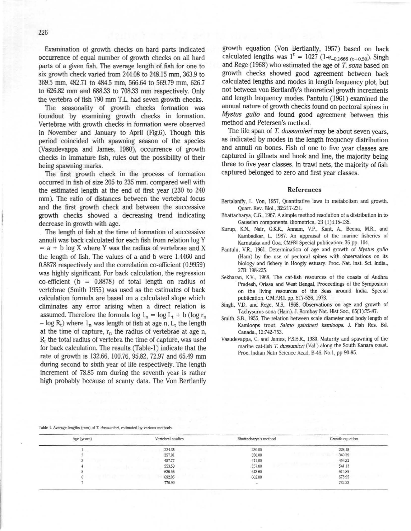Examination of growth checks on hard parts indicated occurrence of equal number of growth checks on all hard parts of a given fish. The average length of fish for one to six growth check varied from 244.08 to 248.15 mm, 363.9 to 369.5 mm, 482.71 to 484.5 mm, 566.64 to 569.79 mm, 626.7 to 626.82 mm and 688.33 to 708.33 mm respectively. Only the vertebra of fish 790 mm T.L. had seven growth checks.

The seasonality of growth checks formation was foundout by examining growth checks in formation. Vertebrae with growth checks in formation were observed in November and January to April (Fig.6). Though this period coincided with spawning season of the species (Vasudevappa and James, 1980), occurrence of growth checks in immature fish, rules out the possibility of their being spawning marks.

The first growth check in the process of formation occurred in fish of size 205 to 235 mm. compared well with the estimated length at the end of first year (230 to 240 mm). The ratio of distances between the vertebral focus and the first growth check and between the successive growth checks showed a decreasing trend indicating decrease in growth with age.

The length of fish at the time of formation of successive annuli was back calculated for each fish from relation log Y  $=$  a + b log X where Y was the radius of vertebrae and X the length of fish. The values of a and b were 1.4460 and 0.8878 respectively and the correlation co-efficient (0.9959) was highly significant. For back calculation, the regression co-efficient ( $b = 0.8878$ ) of total length on radius of vertebrae (Smith 1955) was used as the estimates of back calculation formula are based on a calculated slope which eliminates any error arising when a direct relation is assumed. Therefore the formula log  $l_n = \log L_t + b$  (log  $r_n$ )  $-$  log R<sub>t</sub>) where  $l_n$  was length of fish at age n, L<sub>t</sub> the length at the time of capture,  $r_n$  the radius of vertebrae at age n,  $R_t$  the total radius of vertebra the time of capture, was used for back calculation. The results (Table-I) indicate that the rate of growth is 132.66, 100.76, 95.82, 72.97 and 65.49 mm during second to sixth year of life respectively. The length increment of 78.85 mm during the seventh year is rather high probably because of scanty data. The Von Bertlanffy

growth equation (Von Bertlanffy, 1957) based on back calculated lengths was  $1^t = 1027$  (1-e<sub>-0.1666 (t+0.50</sub>). Singh and Rege (1968) who estimated the age of T. *sona* based on growth checks showed good agreement between back calculated lengths and modes in length frequency plot, but not between von Bertlanffy's theoretical growth increments and length frequency modes. Pantulu (1961) examined the annual nature of growth checks found on pectoral spines in *Mystus gulio* and found good agreement between this method and Petersen's method.

The life span of *T. dussumieri* may be about seven years, as indicated by modes in the length frequency distribution and annuli on bones. Fish of one to five year elasses are captured in gillnets and hook and line, the majority being three to five year classes. fn trawl nets, the majority of fish captured belonged to zero and first year classes.

#### References

- Bertalanffy, L. Von, 1957, Quantitative laws in metabolism and growth. Quart. Rev. Biol., 32:217-231.
- **Bhattacharya, CG., 1961, A simple method resolution of a distribution in to Gaussian components. Biometrics., 23 (1):115-135.**
- Kurup, K.N., Nair, G.K.K., Annam, V.P., Kant, A., Beena, M.R., and **Kambadkar, L 1987. An appraisal of the marine fisheries of Kamataka and Goa. CMFRi Special publication; 36 pp. 104.**
- **Pantulu, VR, 1961 , Determination of age and growth of Mystus gulio (Ham) by the use of pectoral spines with observations on its biology and fishery in Hoogly estuary. Proc. Nat. Inst. Sci. India.,**  27B: 198-225.
- **Sekharan. K.V., 1968. The cat-fish resources of the coasts of Andhra Pradesh. Orissa and West Bengal, Proceedings of the Symposium on the living resources of the Seas around India. Special**  publication. C.M.F.R.I. pp. 517-536. 1973.
- **Singh, V.D. and Rege. MS., 1968, Observations on age and growth of Tachysurus sona (Ham). J. Bombay Nat. Hist Soc,. 65(1):75..87.**
- **Smith. S.B., 1955. The relation between scale diameter and body length of Kamloops trout, Sa/mo gairdneri kam/oops. J. Fish Res. Bd.**  Canada., 12:742-753.
- **Vasudevappa, C. and James, P S.BR., 1980. Maturity and spawning of the marine cat-fish** *T, dussumieri* **(Val.) along the South Kanara coast.**  Proc. Indian Natn Science Acad. B-46, No.1, pp 90-95.

#### Table 1. Average lengths (mm) of *T. dussumieri*, estimated by various methods

| Age (years) | Vertebral studies | Bhattacharva's method | Growth equation |
|-------------|-------------------|-----------------------|-----------------|
|             | 224.35            | 230.00                | 226.15          |
|             | 357.01            | 350.00                | 349.39          |
|             | 457.77            | 471.00                | 453.32          |
|             | 553.59            | 557.00                | 541.13          |
|             | 626.56            | 613.60                | 615.89          |
|             | 692.05            | 662.00                | 678.95          |
|             | 770.90            | $\sim$                | 732.23          |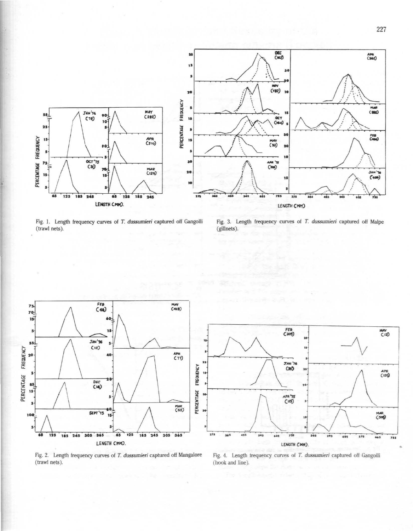

Fig. 1. Length frequency curves of T. dussumieri captured off Gangolli (trawl nets).

Fig. 3. Length frequency curves of T. dussumieri captured off Malpe (gillnets).



Fig. 2. Length frequency curves of T. dussumieri captured off Mangalore (trawl nets).

Fig. 4. Length trequency curves of T. dussumieri captured off Gangolli (hook and line).